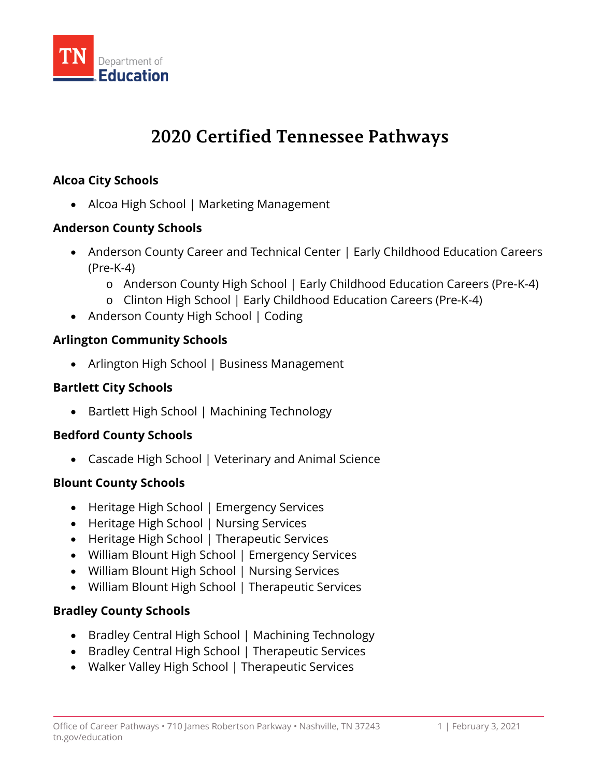

# **2020 Certified Tennessee Pathways**

## **Alcoa City Schools**

• Alcoa High School | Marketing Management

## **Anderson County Schools**

- Anderson County Career and Technical Center | Early Childhood Education Careers (Pre-K-4)
	- o Anderson County High School | Early Childhood Education Careers (Pre-K-4)
	- o Clinton High School | Early Childhood Education Careers (Pre-K-4)
- Anderson County High School | Coding

## **Arlington Community Schools**

• Arlington High School | Business Management

## **Bartlett City Schools**

• Bartlett High School | Machining Technology

## **Bedford County Schools**

• Cascade High School | Veterinary and Animal Science

## **Blount County Schools**

- Heritage High School | Emergency Services
- Heritage High School | Nursing Services
- Heritage High School | Therapeutic Services
- William Blount High School | Emergency Services
- William Blount High School | Nursing Services
- William Blount High School | Therapeutic Services

# **Bradley County Schools**

- Bradley Central High School | Machining Technology
- Bradley Central High School | Therapeutic Services
- Walker Valley High School | Therapeutic Services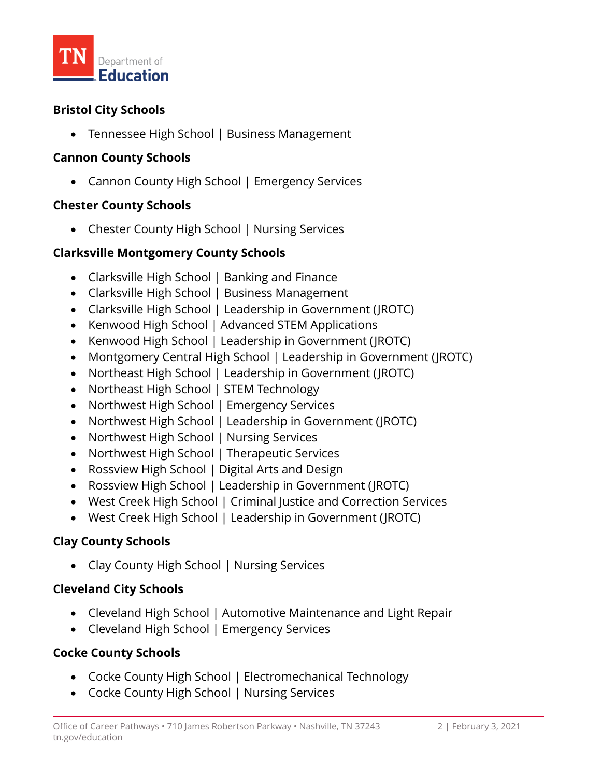

## **Bristol City Schools**

• Tennessee High School | Business Management

## **Cannon County Schools**

• Cannon County High School | Emergency Services

## **Chester County Schools**

• Chester County High School | Nursing Services

## **Clarksville Montgomery County Schools**

- Clarksville High School | Banking and Finance
- Clarksville High School | Business Management
- Clarksville High School | Leadership in Government (JROTC)
- Kenwood High School | Advanced STEM Applications
- Kenwood High School | Leadership in Government (JROTC)
- Montgomery Central High School | Leadership in Government (JROTC)
- Northeast High School | Leadership in Government (JROTC)
- Northeast High School | STEM Technology
- Northwest High School | Emergency Services
- Northwest High School | Leadership in Government (JROTC)
- Northwest High School | Nursing Services
- Northwest High School | Therapeutic Services
- Rossview High School | Digital Arts and Design
- Rossview High School | Leadership in Government (JROTC)
- West Creek High School | Criminal Justice and Correction Services
- West Creek High School | Leadership in Government (JROTC)

# **Clay County Schools**

• Clay County High School | Nursing Services

## **Cleveland City Schools**

- Cleveland High School | Automotive Maintenance and Light Repair
- Cleveland High School | Emergency Services

# **Cocke County Schools**

- Cocke County High School | Electromechanical Technology
- Cocke County High School | Nursing Services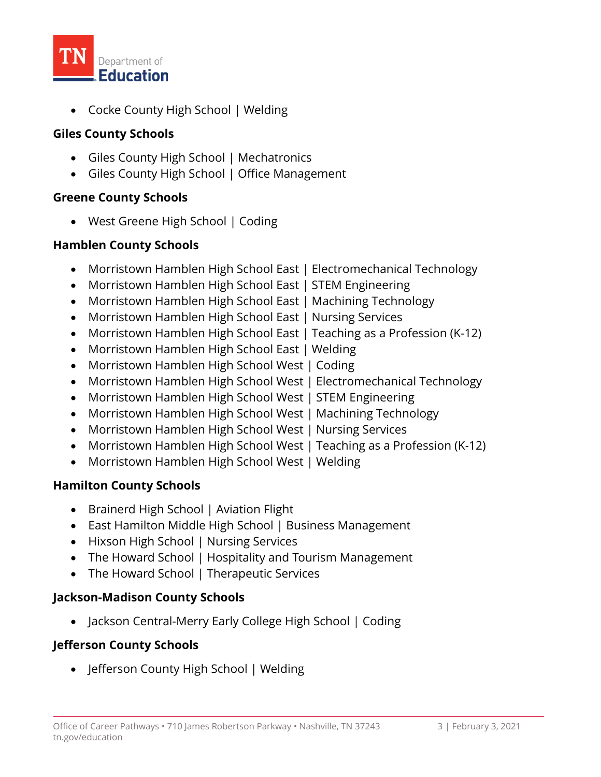

• Cocke County High School | Welding

# **Giles County Schools**

- Giles County High School | Mechatronics
- Giles County High School | Office Management

## **Greene County Schools**

• West Greene High School | Coding

# **Hamblen County Schools**

- Morristown Hamblen High School East | Electromechanical Technology
- Morristown Hamblen High School East | STEM Engineering
- Morristown Hamblen High School East | Machining Technology
- Morristown Hamblen High School East | Nursing Services
- Morristown Hamblen High School East | Teaching as a Profession (K-12)
- Morristown Hamblen High School East | Welding
- Morristown Hamblen High School West | Coding
- Morristown Hamblen High School West | Electromechanical Technology
- Morristown Hamblen High School West | STEM Engineering
- Morristown Hamblen High School West | Machining Technology
- Morristown Hamblen High School West | Nursing Services
- Morristown Hamblen High School West | Teaching as a Profession (K-12)
- Morristown Hamblen High School West | Welding

# **Hamilton County Schools**

- Brainerd High School | Aviation Flight
- East Hamilton Middle High School | Business Management
- Hixson High School | Nursing Services
- The Howard School | Hospitality and Tourism Management
- The Howard School | Therapeutic Services

# **Jackson-Madison County Schools**

• Jackson Central-Merry Early College High School | Coding

# **Jefferson County Schools**

• Jefferson County High School | Welding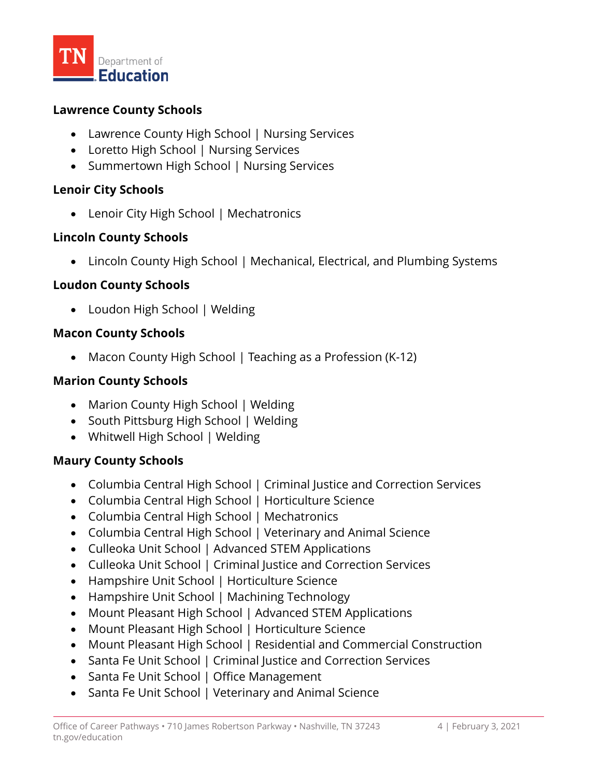

#### **Lawrence County Schools**

- Lawrence County High School | Nursing Services
- Loretto High School | Nursing Services
- Summertown High School | Nursing Services

## **Lenoir City Schools**

• Lenoir City High School | Mechatronics

## **Lincoln County Schools**

• Lincoln County High School | Mechanical, Electrical, and Plumbing Systems

## **Loudon County Schools**

• Loudon High School | Welding

## **Macon County Schools**

• Macon County High School | Teaching as a Profession (K-12)

## **Marion County Schools**

- Marion County High School | Welding
- South Pittsburg High School | Welding
- Whitwell High School | Welding

## **Maury County Schools**

- Columbia Central High School | Criminal Justice and Correction Services
- Columbia Central High School | Horticulture Science
- Columbia Central High School | Mechatronics
- Columbia Central High School | Veterinary and Animal Science
- Culleoka Unit School | Advanced STEM Applications
- Culleoka Unit School | Criminal Justice and Correction Services
- Hampshire Unit School | Horticulture Science
- Hampshire Unit School | Machining Technology
- Mount Pleasant High School | Advanced STEM Applications
- Mount Pleasant High School | Horticulture Science
- Mount Pleasant High School | Residential and Commercial Construction
- Santa Fe Unit School | Criminal Justice and Correction Services
- Santa Fe Unit School | Office Management
- Santa Fe Unit School | Veterinary and Animal Science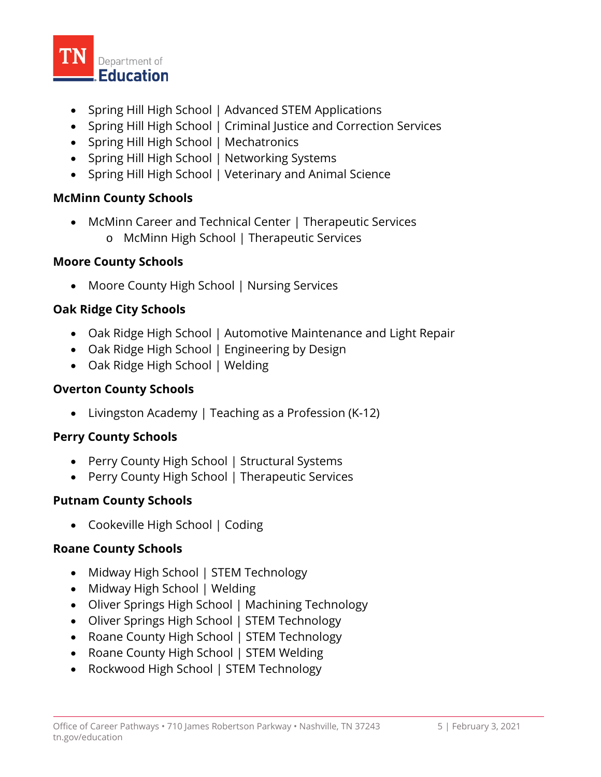

- Spring Hill High School | Advanced STEM Applications
- Spring Hill High School | Criminal Justice and Correction Services
- Spring Hill High School | Mechatronics
- Spring Hill High School | Networking Systems
- Spring Hill High School | Veterinary and Animal Science

## **McMinn County Schools**

• McMinn Career and Technical Center | Therapeutic Services o McMinn High School | Therapeutic Services

## **Moore County Schools**

• Moore County High School | Nursing Services

# **Oak Ridge City Schools**

- Oak Ridge High School | Automotive Maintenance and Light Repair
- Oak Ridge High School | Engineering by Design
- Oak Ridge High School | Welding

## **Overton County Schools**

• Livingston Academy | Teaching as a Profession (K-12)

## **Perry County Schools**

- Perry County High School | Structural Systems
- Perry County High School | Therapeutic Services

## **Putnam County Schools**

• Cookeville High School | Coding

## **Roane County Schools**

- Midway High School | STEM Technology
- Midway High School | Welding
- Oliver Springs High School | Machining Technology
- Oliver Springs High School | STEM Technology
- Roane County High School | STEM Technology
- Roane County High School | STEM Welding
- Rockwood High School | STEM Technology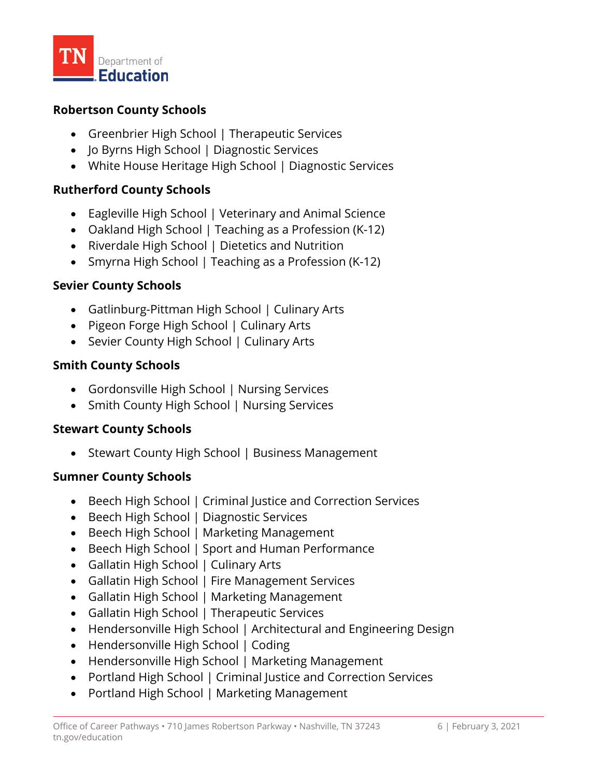

#### **Robertson County Schools**

- Greenbrier High School | Therapeutic Services
- Jo Byrns High School | Diagnostic Services
- White House Heritage High School | Diagnostic Services

## **Rutherford County Schools**

- Eagleville High School | Veterinary and Animal Science
- Oakland High School | Teaching as a Profession (K-12)
- Riverdale High School | Dietetics and Nutrition
- Smyrna High School | Teaching as a Profession (K-12)

## **Sevier County Schools**

- Gatlinburg-Pittman High School | Culinary Arts
- Pigeon Forge High School | Culinary Arts
- Sevier County High School | Culinary Arts

## **Smith County Schools**

- Gordonsville High School | Nursing Services
- Smith County High School | Nursing Services

## **Stewart County Schools**

• Stewart County High School | Business Management

## **Sumner County Schools**

- Beech High School | Criminal Justice and Correction Services
- Beech High School | Diagnostic Services
- Beech High School | Marketing Management
- Beech High School | Sport and Human Performance
- Gallatin High School | Culinary Arts
- Gallatin High School | Fire Management Services
- Gallatin High School | Marketing Management
- Gallatin High School | Therapeutic Services
- Hendersonville High School | Architectural and Engineering Design
- Hendersonville High School | Coding
- Hendersonville High School | Marketing Management
- Portland High School | Criminal Justice and Correction Services
- Portland High School | Marketing Management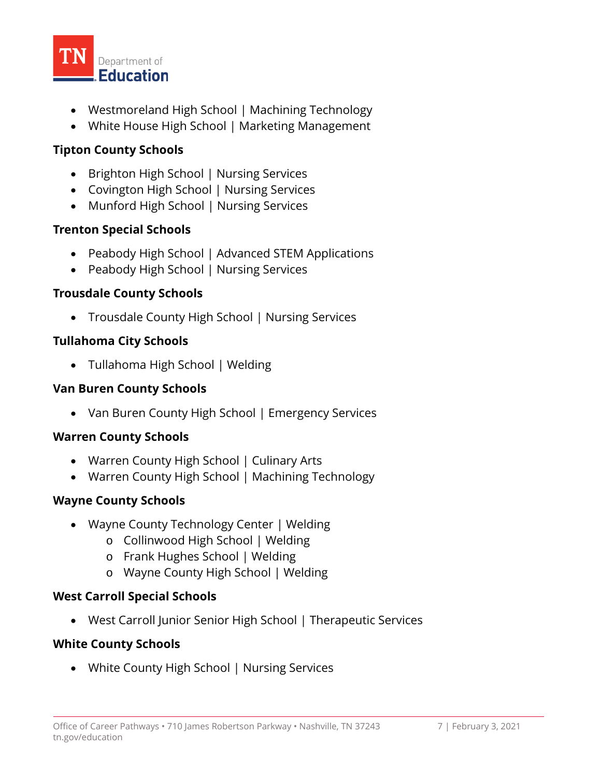

- Westmoreland High School | Machining Technology
- White House High School | Marketing Management

# **Tipton County Schools**

- Brighton High School | Nursing Services
- Covington High School | Nursing Services
- Munford High School | Nursing Services

# **Trenton Special Schools**

- Peabody High School | Advanced STEM Applications
- Peabody High School | Nursing Services

## **Trousdale County Schools**

• Trousdale County High School | Nursing Services

## **Tullahoma City Schools**

• Tullahoma High School | Welding

## **Van Buren County Schools**

• Van Buren County High School | Emergency Services

# **Warren County Schools**

- Warren County High School | Culinary Arts
- Warren County High School | Machining Technology

# **Wayne County Schools**

- Wayne County Technology Center | Welding
	- o Collinwood High School | Welding
	- o Frank Hughes School | Welding
	- o Wayne County High School | Welding

## **West Carroll Special Schools**

• West Carroll Junior Senior High School | Therapeutic Services

# **White County Schools**

• White County High School | Nursing Services